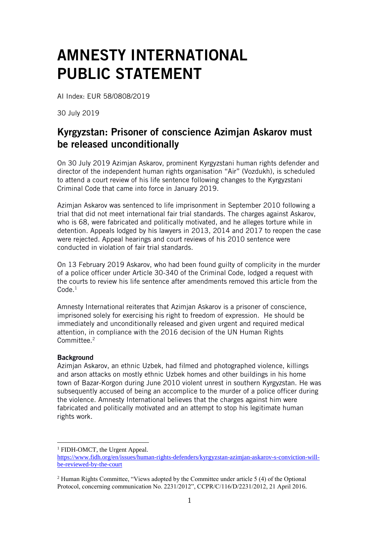## AMNESTY INTERNATIONAL PUBLIC STATEMENT

AI Index: EUR 58/0808/2019

30 July 2019

## Kyrgyzstan: Prisoner of conscience Azimjan Askarov must be released unconditionally

On 30 July 2019 Azimjan Askarov, prominent Kyrgyzstani human rights defender and director of the independent human rights organisation "Air" (Vozdukh), is scheduled to attend a court review of his life sentence following changes to the Kyrgyzstani Criminal Code that came into force in January 2019.

Azimjan Askarov was sentenced to life imprisonment in September 2010 following a trial that did not meet international fair trial standards. The charges against Askarov, who is 68, were fabricated and politically motivated, and he alleges torture while in detention. Appeals lodged by his lawyers in 2013, 2014 and 2017 to reopen the case were rejected. Appeal hearings and court reviews of his 2010 sentence were conducted in violation of fair trial standards.

On 13 February 2019 Askarov, who had been found guilty of complicity in the murder of a police officer under Article 30-340 of the Criminal Code, lodged a request with the courts to review his life sentence after amendments removed this article from the Code $<sup>1</sup>$ </sup>

Amnesty International reiterates that Azimjan Askarov is a prisoner of conscience, imprisoned solely for exercising his right to freedom of expression. He should be immediately and unconditionally released and given urgent and required medical attention, in compliance with the 2016 decision of the UN Human Rights Committee. 2

## **Background**

1

Azimjan Askarov, an ethnic Uzbek, had filmed and photographed violence, killings and arson attacks on mostly ethnic Uzbek homes and other buildings in his home town of Bazar-Korgon during June 2010 violent unrest in southern Kyrgyzstan. He was subsequently accused of being an accomplice to the murder of a police officer during the violence. Amnesty International believes that the charges against him were fabricated and politically motivated and an attempt to stop his legitimate human rights work.

<sup>&</sup>lt;sup>1</sup> FIDH-OMCT, the Urgent Appeal.

[https://www.fidh.org/en/issues/human-rights-defenders/kyrgyzstan-azimjan-askarov-s-conviction-will](https://www.fidh.org/en/issues/human-rights-defenders/kyrgyzstan-azimjan-askarov-s-conviction-will-be-reviewed-by-the-court)[be-reviewed-by-the-court](https://www.fidh.org/en/issues/human-rights-defenders/kyrgyzstan-azimjan-askarov-s-conviction-will-be-reviewed-by-the-court)

<sup>&</sup>lt;sup>2</sup> Human Rights Committee, "Views adopted by the Committee under article 5 (4) of the Optional Protocol, concerning communication No. 2231/2012", CCPR/C/116/D/2231/2012, 21 April 2016.